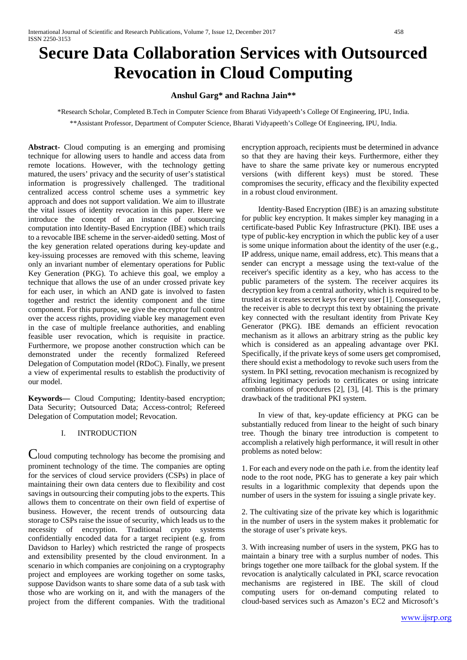# **Secure Data Collaboration Services with Outsourced Revocation in Cloud Computing**

## **Anshul Garg\* and Rachna Jain\*\***

\*Research Scholar, Completed B.Tech in Computer Science from Bharati Vidyapeeth's College Of Engineering, IPU, India. \*\*Assistant Professor, Department of Computer Science, Bharati Vidyapeeth's College Of Engineering, IPU, India.

**Abstract-** Cloud computing is an emerging and promising technique for allowing users to handle and access data from remote locations. However, with the technology getting matured, the users' privacy and the security of user's statistical information is progressively challenged. The traditional centralized access control scheme uses a symmetric key approach and does not support validation. We aim to illustrate the vital issues of identity revocation in this paper. Here we introduce the concept of an instance of outsourcing computation into Identity-Based Encryption (IBE) which trails to a revocable IBE scheme in the server-aided0 setting. Most of the key generation related operations during key-update and key-issuing processes are removed with this scheme, leaving only an invariant number of elementary operations for Public Key Generation (PKG). To achieve this goal, we employ a technique that allows the use of an under crossed private key for each user, in which an AND gate is involved to fasten together and restrict the identity component and the time component. For this purpose, we give the encryptor full control over the access rights, providing viable key management even in the case of multiple freelance authorities, and enabling feasible user revocation, which is requisite in practice. Furthermore, we propose another construction which can be demonstrated under the recently formalized Refereed Delegation of Computation model (RDoC). Finally, we present a view of experimental results to establish the productivity of our model.

**Keywords—** Cloud Computing; Identity-based encryption; Data Security; Outsourced Data; Access-control; Refereed Delegation of Computation model; Revocation.

## I. INTRODUCTION

Cloud computing technology has become the promising and prominent technology of the time. The companies are opting for the services of cloud service providers (CSPs) in place of maintaining their own data centers due to flexibility and cost savings in outsourcing their computing jobs to the experts. This allows them to concentrate on their own field of expertise of business. However, the recent trends of outsourcing data storage to CSPs raise the issue of security, which leads us to the necessity of encryption. Traditional crypto systems confidentially encoded data for a target recipient (e.g. from Davidson to Harley) which restricted the range of prospects and extensibility presented by the cloud environment. In a scenario in which companies are conjoining on a cryptography project and employees are working together on some tasks, suppose Davidson wants to share some data of a sub task with those who are working on it, and with the managers of the project from the different companies. With the traditional encryption approach, recipients must be determined in advance so that they are having their keys. Furthermore, either they have to share the same private key or numerous encrypted versions (with different keys) must be stored. These compromises the security, efficacy and the flexibility expected in a robust cloud environment.

Identity-Based Encryption (IBE) is an amazing substitute for public key encryption. It makes simpler key managing in a certificate-based Public Key Infrastructure (PKI). IBE uses a type of public-key encryption in which the public key of a user is some unique information about the identity of the user (e.g., IP address, unique name, email address, etc). This means that a sender can encrypt a message using the text-value of the receiver's specific identity as a key, who has access to the public parameters of the system. The receiver acquires its decryption key from a central authority, which is required to be trusted as it creates secret keys for every user [1]. Consequently, the receiver is able to decrypt this text by obtaining the private key connected with the resultant identity from Private Key Generator (PKG). IBE demands an efficient revocation mechanism as it allows an arbitrary string as the public key which is considered as an appealing advantage over PKI. Specifically, if the private keys of some users get compromised, there should exist a methodology to revoke such users from the system. In PKI setting, revocation mechanism is recognized by affixing legitimacy periods to certificates or using intricate combinations of procedures [2], [3], [4]. This is the primary drawback of the traditional PKI system.

In view of that, key-update efficiency at PKG can be substantially reduced from linear to the height of such binary tree. Though the binary tree introduction is competent to accomplish a relatively high performance, it will result in other problems as noted below:

1. For each and every node on the path i.e. from the identity leaf node to the root node, PKG has to generate a key pair which results in a logarithmic complexity that depends upon the number of users in the system for issuing a single private key.

2. The cultivating size of the private key which is logarithmic in the number of users in the system makes it problematic for the storage of user's private keys.

3. With increasing number of users in the system, PKG has to maintain a binary tree with a surplus number of nodes. This brings together one more tailback for the global system. If the revocation is analytically calculated in PKI, scarce revocation mechanisms are registered in IBE. The skill of cloud computing users for on-demand computing related to cloud-based services such as Amazon's EC2 and Microsoft's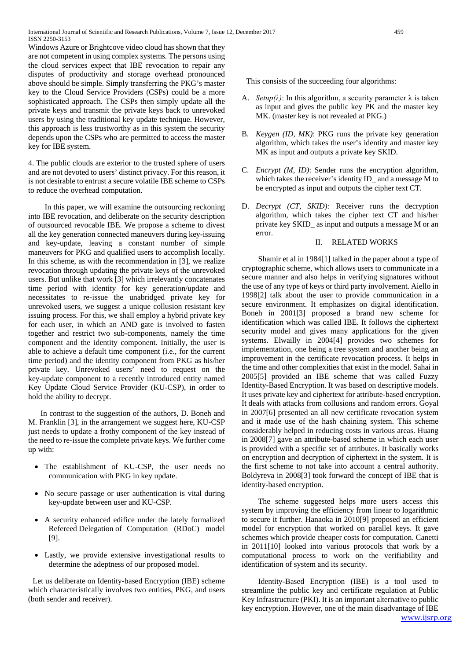Windows Azure or Brightcove video cloud has shown that they are not competent in using complex systems. The persons using the cloud services expect that IBE revocation to repair any disputes of productivity and storage overhead pronounced above should be simple. Simply transferring the PKG's master key to the Cloud Service Providers (CSPs) could be a more sophisticated approach. The CSPs then simply update all the private keys and transmit the private keys back to unrevoked users by using the traditional key update technique. However, this approach is less trustworthy as in this system the security depends upon the CSPs who are permitted to access the master key for IBE system.

4. The public clouds are exterior to the trusted sphere of users and are not devoted to users' distinct privacy. For this reason, it is not desirable to entrust a secure volatile IBE scheme to CSPs to reduce the overhead computation.

In this paper, we will examine the outsourcing reckoning into IBE revocation, and deliberate on the security description of outsourced revocable IBE. We propose a scheme to divest all the key generation connected maneuvers during key-issuing and key-update, leaving a constant number of simple maneuvers for PKG and qualified users to accomplish locally. In this scheme, as with the recommendation in [3], we realize revocation through updating the private keys of the unrevoked users. But unlike that work [3] which irrelevantly concatenates time period with identity for key generation/update and necessitates to re-issue the unabridged private key for unrevoked users, we suggest a unique collusion resistant key issuing process. For this, we shall employ a hybrid private key for each user, in which an AND gate is involved to fasten together and restrict two sub-components, namely the time component and the identity component. Initially, the user is able to achieve a default time component (i.e., for the current time period) and the identity component from PKG as his/her private key. Unrevoked users' need to request on the key-update component to a recently introduced entity named Key Update Cloud Service Provider (KU-CSP), in order to hold the ability to decrypt.

In contrast to the suggestion of the authors, D. Boneh and M. Franklin [3], in the arrangement we suggest here, KU-CSP just needs to update a frothy component of the key instead of the need to re-issue the complete private keys. We further come up with:

- The establishment of KU-CSP, the user needs no communication with PKG in key update.
- No secure passage or user authentication is vital during key-update between user and KU-CSP.
- A security enhanced edifice under the lately formalized Refereed Delegation of Computation (RDoC) model [9].
- Lastly, we provide extensive investigational results to determine the adeptness of our proposed model.

Let us deliberate on Identity-based Encryption (IBE) scheme which characteristically involves two entities, PKG, and users (both sender and receiver).

This consists of the succeeding four algorithms:

- A. *Setup*( $\lambda$ ): In this algorithm, a security parameter  $\lambda$  is taken as input and gives the public key PK and the master key MK. (master key is not revealed at PKG.)
- B. *Keygen (ID, MK)*: PKG runs the private key generation algorithm, which takes the user's identity and master key MK as input and outputs a private key SKID.
- C. *Encrypt (M, ID)*: Sender runs the encryption algorithm, which takes the receiver's identity ID\_ and a message M to be encrypted as input and outputs the cipher text CT.
- D. *Decrypt (CT, SKID):* Receiver runs the decryption algorithm, which takes the cipher text CT and his/her private key SKID\_ as input and outputs a message M or an error.

#### II. RELATED WORKS

Shamir et al in 1984[1] talked in the paper about a type of cryptographic scheme, which allows users to communicate in a secure manner and also helps in verifying signatures without the use of any type of keys or third party involvement. Aiello in 1998[2] talk about the user to provide communication in a secure environment. It emphasizes on digital identification. Boneh in 2001[3] proposed a brand new scheme for identification which was called IBE. It follows the ciphertext security model and gives many applications for the given systems. Elwailly in 2004[4] provides two schemes for implementation, one being a tree system and another being an improvement in the certificate revocation process. It helps in the time and other complexities that exist in the model. Sahai in 2005[5] provided an IBE scheme that was called Fuzzy Identity-Based Encryption. It was based on descriptive models. It uses private key and ciphertext for attribute-based encryption. It deals with attacks from collusions and random errors. Goyal in 2007[6] presented an all new certificate revocation system and it made use of the hash chaining system. This scheme considerably helped in reducing costs in various areas. Huang in 2008[7] gave an attribute-based scheme in which each user is provided with a specific set of attributes. It basically works on encryption and decryption of ciphertext in the system. It is the first scheme to not take into account a central authority. Boldyreva in 2008[3] took forward the concept of IBE that is identity-based encryption.

The scheme suggested helps more users access this system by improving the efficiency from linear to logarithmic to secure it further. Hanaoka in 2010[9] proposed an efficient model for encryption that worked on parallel keys. It gave schemes which provide cheaper costs for computation. Canetti in 2011[10] looked into various protocols that work by a computational process to work on the verifiability and identification of system and its security.

Identity-Based Encryption (IBE) is a tool used to streamline the public key and certificate regulation at Public Key Infrastructure (PKI). It is an important alternative to public key encryption. However, one of the main disadvantage of IBE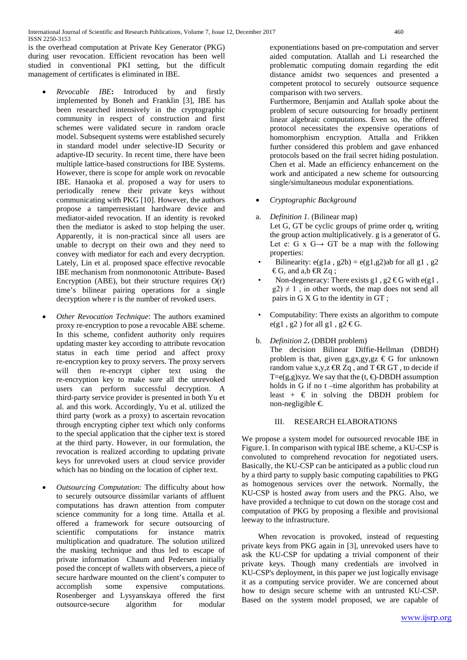is the overhead computation at Private Key Generator (PKG) during user revocation. Efficient revocation has been well studied in conventional PKI setting, but the difficult management of certificates is eliminated in IBE.

- *Revocable IBE***:** Introduced by and firstly implemented by Boneh and Franklin [3], IBE has been researched intensively in the cryptographic community in respect of construction and first schemes were validated secure in random oracle model. Subsequent systems were established securely in standard model under selective-ID Security or adaptive-ID security. In recent time, there have been multiple lattice-based constructions for IBE Systems. However, there is scope for ample work on revocable IBE. Hanaoka et al. proposed a way for users to periodically renew their private keys without communicating with PKG [10]. However, the authors propose a tamperresistant hardware device and mediator-aided revocation. If an identity is revoked then the mediator is asked to stop helping the user. Apparently, it is non-practical since all users are unable to decrypt on their own and they need to convey with mediator for each and every decryption. Lately, Lin et al. proposed space effective revocable IBE mechanism from nonmonotonic Attribute- Based Encryption (ABE), but their structure requires  $O(r)$ time's bilinear pairing operations for a single decryption where r is the number of revoked users.
- *Other Revocation Technique*: The authors examined proxy re-encryption to pose a revocable ABE scheme. In this scheme, confident authority only requires updating master key according to attribute revocation status in each time period and affect proxy re-encryption key to proxy servers. The proxy servers will then re-encrypt cipher text using the re-encryption key to make sure all the unrevoked users can perform successful decryption. A third-party service provider is presented in both Yu et al. and this work. Accordingly, Yu et al. utilized the third party (work as a proxy) to ascertain revocation through encrypting cipher text which only conforms to the special application that the cipher text is stored at the third party. However, in our formulation, the revocation is realized according to updating private keys for unrevoked users at cloud service provider which has no binding on the location of cipher text.
- *Outsourcing Computation:* The difficulty about how to securely outsource dissimilar variants of affluent computations has drawn attention from computer science community for a long time. Attalla et al. offered a framework for secure outsourcing of scientific computations for instance matrix multiplication and quadrature. The solution utilized the masking technique and thus led to escape of private information Chaum and Pedersen initially posed the concept of wallets with observers, a piece of secure hardware mounted on the client's computer to accomplish some expensive computations. Rosenberger and Lysyanskaya offered the first outsource-secure algorithm for modular

exponentiations based on pre-computation and server aided computation. Atallah and Li researched the problematic computing domain regarding the edit distance amidst two sequences and presented a competent protocol to securely outsource sequence comparison with two servers.

Furthermore, Benjamin and Atallah spoke about the problem of secure outsourcing for broadly pertinent linear algebraic computations. Even so, the offered protocol necessitates the expensive operations of homomorphism encryption. Attalla and Frikken further considered this problem and gave enhanced protocols based on the frail secret hiding postulation. Chen et al. Made an efficiency enhancement on the work and anticipated a new scheme for outsourcing single/simultaneous modular exponentiations.

- *Cryptographic Background*
- a. *Definition 1.* (Bilinear map) Let G, GT be cyclic groups of prime order q, writing the group action multiplicatively. g is a generator of G. Let e: G x G $\rightarrow$  GT be a map with the following properties:
- Bilinearity:  $e(g1a, g2b) = e(g1, g2)ab$  for all g1, g2 €G, and a,b  $\bigoplus$  Zq;
- Non-degeneracy: There exists g1, g2  $\text{\textcircled{e}G}$  with e(g1,  $g(2) \neq 1$ , in other words, the map does not send all pairs in G X G to the identity in GT ;
- Computability: There exists an algorithm to compute  $e(g1, g2)$  for all  $g1, g2 \text{ } \in G$ .
- b. *Definition 2***.** (DBDH problem)
	- The decision Bilinear Diffie-Hellman (DBDH) problem is that, given  $g,gx,gy,gz \in G$  for unknown random value x,y,z  $\overline{\mathbb{R}}$  Zq, and T  $\overline{\mathbb{R}}$  GT, to decide if T=e(g,g)xyz. We say that the  $(t, \triangleleft$ -DBDH assumption holds in G if no t –time algorithm has probability at least +  $\in$  in solving the DBDH problem for non-negligible  $∈$

## III. RESEARCH ELABORATIONS

We propose a system model for outsourced revocable IBE in Figure.1. In comparison with typical IBE scheme, a KU-CSP is convoluted to comprehend revocation for negotiated users. Basically, the KU-CSP can be anticipated as a public cloud run by a third party to supply basic computing capabilities to PKG as homogenous services over the network. Normally, the KU-CSP is hosted away from users and the PKG. Also, we have provided a technique to cut down on the storage cost and computation of PKG by proposing a flexible and provisional leeway to the infrastructure.

When revocation is provoked, instead of requesting private keys from PKG again in [3], unrevoked users have to ask the KU-CSP for updating a trivial component of their private keys. Though many credentials are involved in KU-CSP's deployment, in this paper we just logically envisage it as a computing service provider. We are concerned about how to design secure scheme with an untrusted KU-CSP. Based on the system model proposed, we are capable of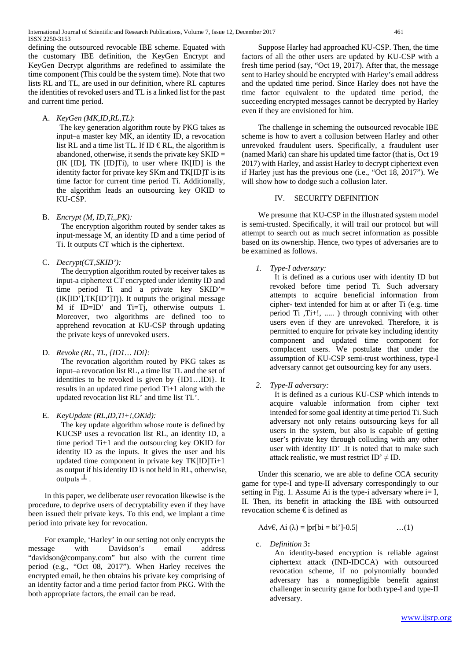defining the outsourced revocable IBE scheme. Equated with the customary IBE definition, the KeyGen Encrypt and KeyGen Decrypt algorithms are redefined to assimilate the time component (This could be the system time). Note that two lists RL and TL, are used in our definition, where RL captures the identities of revoked users and TL is a linked list for the past and current time period.

A. *KeyGen (MK,ID,RL,TL)*:

The key generation algorithm route by PKG takes as input–a master key MK, an identity ID, a revocation list RL and a time list TL. If ID  $\in$  RL, the algorithm is abandoned, otherwise, it sends the private key SKID = (IK [ID], TK [ID]Ti), to user where IK[ID] is the identity factor for private key SKm and TK[ID]T is its time factor for current time period Ti. Additionally, the algorithm leads an outsourcing key OKID to KU-CSP.

B. *Encrypt (M, ID,Ti,,PK):*

The encryption algorithm routed by sender takes as input-message M, an identity ID and a time period of Ti. It outputs CT which is the ciphertext.

C. *Decrypt(CT,SKID'):*

The decryption algorithm routed by receiver takes as input-a ciphertext CT encrypted under identity ID and time period Ti and a private key SKID'=  $(K|ID']$ ,  $TK|ID'|Tj)$ . It outputs the original message M if ID=ID' and Ti=Tj, otherwise outputs 1. Moreover, two algorithms are defined too to apprehend revocation at KU-CSP through updating the private keys of unrevoked users.

D. *Revoke (RL, TL, {ID1… IDi}:*

The revocation algorithm routed by PKG takes as input–a revocation list RL, a time list TL and the set of identities to be revoked is given by {ID1…IDi}. It results in an updated time period Ti+1 along with the updated revocation list RL' and time list TL'.

E. *KeyUpdate (RL,ID,Ti+!,OKid):*

The key update algorithm whose route is defined by KUCSP uses a revocation list RL, an identity ID, a time period Ti+1 and the outsourcing key OKID for identity ID as the inputs. It gives the user and his updated time component in private key TK[ID]Ti+1 as output if his identity ID is not held in RL, otherwise, outputs  $\perp$ .

In this paper, we deliberate user revocation likewise is the procedure, to deprive users of decryptability even if they have been issued their private keys. To this end, we implant a time period into private key for revocation.

For example, 'Harley' in our setting not only encrypts the message with Davidson's email address "davidson@company.com" but also with the current time period (e.g., "Oct 08, 2017"). When Harley receives the encrypted email, he then obtains his private key comprising of an identity factor and a time period factor from PKG. With the both appropriate factors, the email can be read.

Suppose Harley had approached KU-CSP. Then, the time factors of all the other users are updated by KU-CSP with a fresh time period (say, "Oct 19, 2017). After that, the message sent to Harley should be encrypted with Harley's email address and the updated time period. Since Harley does not have the time factor equivalent to the updated time period, the succeeding encrypted messages cannot be decrypted by Harley even if they are envisioned for him.

The challenge in scheming the outsourced revocable IBE scheme is how to avert a collusion between Harley and other unrevoked fraudulent users. Specifically, a fraudulent user (named Mark) can share his updated time factor (that is, Oct 19 2017) with Harley, and assist Harley to decrypt ciphertext even if Harley just has the previous one (i.e., "Oct 18, 2017"). We will show how to dodge such a collusion later.

## IV. SECURITY DEFINITION

We presume that KU-CSP in the illustrated system model is semi-trusted. Specifically, it will trail our protocol but will attempt to search out as much secret information as possible based on its ownership. Hence, two types of adversaries are to be examined as follows.

*1. Type-I adversary:*

It is defined as a curious user with identity ID but revoked before time period Ti. Such adversary attempts to acquire beneficial information from cipher- text intended for him at or after Ti (e.g. time period Ti ,Ti+!, ..... ) through conniving with other users even if they are unrevoked. Therefore, it is permitted to enquire for private key including identity component and updated time component for complacent users. We postulate that under the assumption of KU-CSP semi-trust worthiness, type-I adversary cannot get outsourcing key for any users.

*2. Type-II adversary:*

It is defined as a curious KU-CSP which intends to acquire valuable information from cipher text intended for some goal identity at time period Ti. Such adversary not only retains outsourcing keys for all users in the system, but also is capable of getting user's private key through colluding with any other user with identity ID' .It is noted that to make such attack realistic, we must restrict  $ID' \neq ID$ .

Under this scenario, we are able to define CCA security game for type-I and type-II adversary correspondingly to our setting in Fig. 1. Assume Ai is the type-i adversary where  $i=I$ , II. Then, its benefit in attacking the IBE with outsourced revocation scheme  $\epsilon$  is defined as

Adv $\epsilon$ , Ai  $(\lambda) = |pr[b] = bi'[-0.5]$  …(1)

c. *Definition 3***:**

An identity-based encryption is reliable against ciphertext attack (IND-IDCCA) with outsourced revocation scheme, if no polynomially bounded adversary has a nonnegligible benefit against challenger in security game for both type-I and type-II adversary.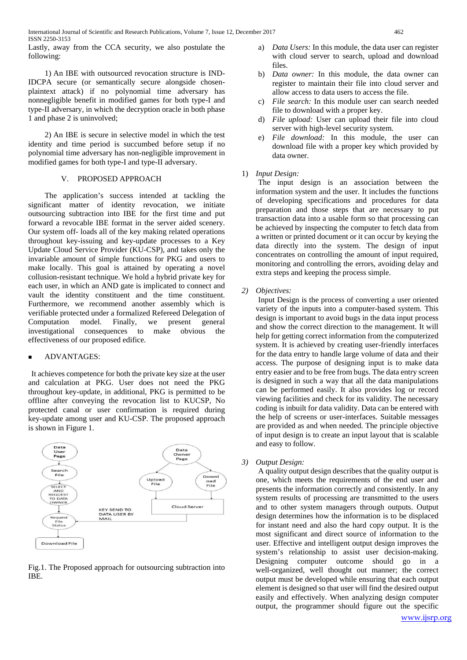Lastly, away from the CCA security, we also postulate the following:

1) An IBE with outsourced revocation structure is IND-IDCPA secure (or semantically secure alongside chosenplaintext attack) if no polynomial time adversary has nonnegligible benefit in modified games for both type-I and type-II adversary, in which the decryption oracle in both phase 1 and phase 2 is uninvolved;

2) An IBE is secure in selective model in which the test identity and time period is succumbed before setup if no polynomial time adversary has non-negligible improvement in modified games for both type-I and type-II adversary.

#### V. PROPOSED APPROACH

The application's success intended at tackling the significant matter of identity revocation, we initiate outsourcing subtraction into IBE for the first time and put forward a revocable IBE format in the server aided scenery. Our system off- loads all of the key making related operations throughout key-issuing and key-update processes to a Key Update Cloud Service Provider (KU-CSP), and takes only the invariable amount of simple functions for PKG and users to make locally. This goal is attained by operating a novel collusion-resistant technique. We hold a hybrid private key for each user, in which an AND gate is implicated to connect and vault the identity constituent and the time constituent. Furthermore, we recommend another assembly which is verifiable protected under a formalized Refereed Delegation of<br>Computation model. Finally, we present general Computation model. Finally, we present general investigational consequences to make obvious the effectiveness of our proposed edifice.

## ADVANTAGES:

It achieves competence for both the private key size at the user and calculation at PKG. User does not need the PKG throughout key-update, in additional, PKG is permitted to be offline after conveying the revocation list to KUCSP, No protected canal or user confirmation is required during key-update among user and KU-CSP. The proposed approach is shown in Figure 1.



Fig.1. The Proposed approach for outsourcing subtraction into IBE.

- a) *Data Users:* In this module, the data user can register with cloud server to search, upload and download files.
- b) *Data owner:* In this module, the data owner can register to maintain their file into cloud server and allow access to data users to access the file.
- c) *File search:* In this module user can search needed file to download with a proper key.
- d) *File upload:* User can upload their file into cloud server with high-level security system.
- e) *File download:* In this module, the user can download file with a proper key which provided by data owner.
- 1) *Input Design:*

The input design is an association between the information system and the user. It includes the functions of developing specifications and procedures for data preparation and those steps that are necessary to put transaction data into a usable form so that processing can be achieved by inspecting the computer to fetch data from a written or printed document or it can occur by keying the data directly into the system. The design of input concentrates on controlling the amount of input required, monitoring and controlling the errors, avoiding delay and extra steps and keeping the process simple.

*2) Objectives:* 

Input Design is the process of converting a user oriented variety of the inputs into a computer-based system. This design is important to avoid bugs in the data input process and show the correct direction to the management. It will help for getting correct information from the computerized system. It is achieved by creating user-friendly interfaces for the data entry to handle large volume of data and their access. The purpose of designing input is to make data entry easier and to be free from bugs. The data entry screen is designed in such a way that all the data manipulations can be performed easily. It also provides log or record viewing facilities and check for its validity. The necessary coding is inbuilt for data validity. Data can be entered with the help of screens or user-interfaces. Suitable messages are provided as and when needed. The principle objective of input design is to create an input layout that is scalable and easy to follow.

*3) Output Design:* 

A quality output design describes that the quality output is one, which meets the requirements of the end user and presents the information correctly and consistently. In any system results of processing are transmitted to the users and to other system managers through outputs. Output design determines how the information is to be displaced for instant need and also the hard copy output. It is the most significant and direct source of information to the user. Effective and intelligent output design improves the system's relationship to assist user decision-making. Designing computer outcome should go in a well-organized, well thought out manner; the correct output must be developed while ensuring that each output element is designed so that user will find the desired output easily and effectively. When analyzing design computer output, the programmer should figure out the specific